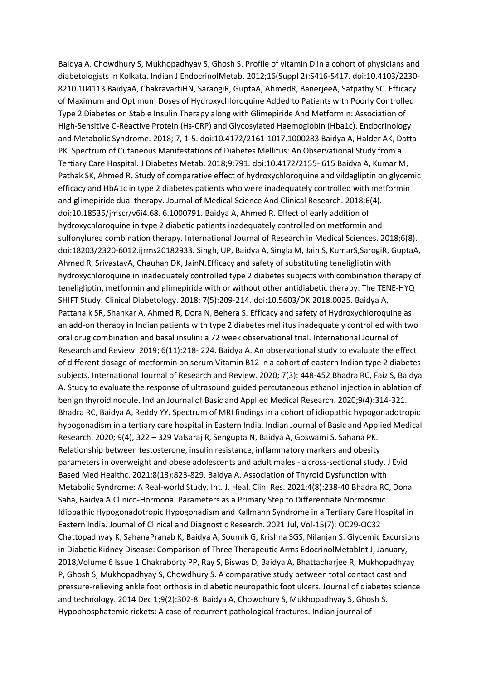Baidya A, Chowdhury S, Mukhopadhyay S, Ghosh S. Profile of vitamin D in a cohort of physicians and diabetologists in Kolkata. Indian J EndocrinolMetab. 2012;16(Suppl 2):S416-S417. doi:10.4103/2230- 8210.104113 BaidyaA, ChakravartiHN, SaraogiR, GuptaA, AhmedR, BanerjeeA, Satpathy SC. Efficacy of Maximum and Optimum Doses of Hydroxychloroquine Added to Patients with Poorly Controlled Type 2 Diabetes on Stable Insulin Therapy along with Glimepiride And Metformin: Association of High-Sensitive C-Reactive Protein (Hs-CRP) and Glycosylated Haemoglobin (Hba1c). Endocrinology and Metabolic Syndrome. 2018; 7, 1-5. doi:10.4172/2161-1017.1000283 Baidya A, Halder AK, Datta PK. Spectrum of Cutaneous Manifestations of Diabetes Mellitus: An Observational Study from a Tertiary Care Hospital. J Diabetes Metab. 2018;9:791. doi:10.4172/2155- 615 Baidya A, Kumar M, Pathak SK, Ahmed R. Study of comparative effect of hydroxychloroquine and vildagliptin on glycemic efficacy and HbA1c in type 2 diabetes patients who were inadequately controlled with metformin and glimepiride dual therapy. Journal of Medical Science And Clinical Research. 2018;6(4). doi:10.18535/jmscr/v6i4.68. 6.1000791. Baidya A, Ahmed R. Effect of early addition of hydroxychloroquine in type 2 diabetic patients inadequately controlled on metformin and sulfonylurea combination therapy. International Journal of Research in Medical Sciences. 2018;6(8). doi:18203/2320-6012.ijrms20182933. Singh, UP, Baidya A, Singla M, Jain S, KumarS,SarogiR, GuptaA, Ahmed R, SrivastavA, Chauhan DK, JainN.Efficacy and safety of substituting teneligliptin with hydroxychloroquine in inadequately controlled type 2 diabetes subjects with combination therapy of teneligliptin, metformin and glimepiride with or without other antidiabetic therapy: The TENE-HYQ SHIFT Study. Clinical Diabetology. 2018; 7(5):209-214. doi:10.5603/DK.2018.0025. Baidya A, Pattanaik SR, Shankar A, Ahmed R, Dora N, Behera S. Efficacy and safety of Hydroxychloroquine as an add-on therapy in Indian patients with type 2 diabetes mellitus inadequately controlled with two oral drug combination and basal insulin: a 72 week observational trial. International Journal of Research and Review. 2019; 6(11):218- 224. Baidya A. An observational study to evaluate the effect of different dosage of metformin on serum Vitamin B12 in a cohort of eastern Indian type 2 diabetes subjects. International Journal of Research and Review. 2020; 7(3): 448-452 Bhadra RC, Faiz S, Baidya A. Study to evaluate the response of ultrasound guided percutaneous ethanol injection in ablation of benign thyroid nodule. Indian Journal of Basic and Applied Medical Research. 2020;9(4):314-321. Bhadra RC, Baidya A, Reddy YY. Spectrum of MRI findings in a cohort of idiopathic hypogonadotropic hypogonadism in a tertiary care hospital in Eastern India. Indian Journal of Basic and Applied Medical Research. 2020; 9(4), 322 – 329 Valsaraj R, Sengupta N, Baidya A, Goswami S, Sahana PK. Relationship between testosterone, insulin resistance, inflammatory markers and obesity parameters in overweight and obese adolescents and adult males - a cross-sectional study. J Evid Based Med Healthc. 2021;8(13):823-829. Baidya A. Association of Thyroid Dysfunction with Metabolic Syndrome: A Real-world Study. Int. J. Heal. Clin. Res. 2021;4(8):238-40 Bhadra RC, Dona Saha, Baidya A.Clinico-Hormonal Parameters as a Primary Step to Differentiate Normosmic Idiopathic Hypogonadotropic Hypogonadism and Kallmann Syndrome in a Tertiary Care Hospital in Eastern India. Journal of Clinical and Diagnostic Research. 2021 Jul, Vol-15(7): OC29-OC32 Chattopadhyay K, SahanaPranab K, Baidya A, Soumik G, Krishna SGS, Nilanjan S. Glycemic Excursions in Diabetic Kidney Disease: Comparison of Three Therapeutic Arms EdocrinolMetabInt J, January, 2018,Volume 6 Issue 1 Chakraborty PP, Ray S, Biswas D, Baidya A, Bhattacharjee R, Mukhopadhyay P, Ghosh S, Mukhopadhyay S, Chowdhury S. A comparative study between total contact cast and pressure-relieving ankle foot orthosis in diabetic neuropathic foot ulcers. Journal of diabetes science and technology. 2014 Dec 1;9(2):302-8. Baidya A, Chowdhury S, Mukhopadhyay S, Ghosh S. Hypophosphatemic rickets: A case of recurrent pathological fractures. Indian journal of